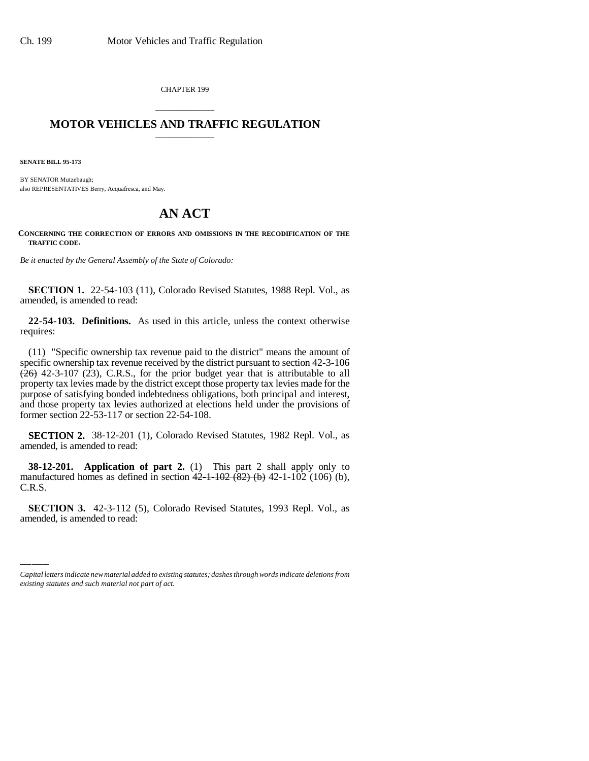CHAPTER 199

#### \_\_\_\_\_\_\_\_\_\_\_\_\_\_\_ **MOTOR VEHICLES AND TRAFFIC REGULATION** \_\_\_\_\_\_\_\_\_\_\_\_\_\_\_

**SENATE BILL 95-173**

BY SENATOR Mutzebaugh; also REPRESENTATIVES Berry, Acquafresca, and May.

### **AN ACT**

**CONCERNING THE CORRECTION OF ERRORS AND OMISSIONS IN THE RECODIFICATION OF THE TRAFFIC CODE.**

*Be it enacted by the General Assembly of the State of Colorado:*

**SECTION 1.** 22-54-103 (11), Colorado Revised Statutes, 1988 Repl. Vol., as amended, is amended to read:

**22-54-103. Definitions.** As used in this article, unless the context otherwise requires:

(11) "Specific ownership tax revenue paid to the district" means the amount of specific ownership tax revenue received by the district pursuant to section 42-3-106  $(26)$  42-3-107 (23), C.R.S., for the prior budget year that is attributable to all property tax levies made by the district except those property tax levies made for the purpose of satisfying bonded indebtedness obligations, both principal and interest, and those property tax levies authorized at elections held under the provisions of former section 22-53-117 or section 22-54-108.

**SECTION 2.** 38-12-201 (1), Colorado Revised Statutes, 1982 Repl. Vol., as amended, is amended to read:

C.R.S. **38-12-201. Application of part 2.** (1) This part 2 shall apply only to manufactured homes as defined in section  $42-1-102$   $(82)$  (b)  $42-1-102$  (106) (b),

**SECTION 3.** 42-3-112 (5), Colorado Revised Statutes, 1993 Repl. Vol., as amended, is amended to read:

*Capital letters indicate new material added to existing statutes; dashes through words indicate deletions from existing statutes and such material not part of act.*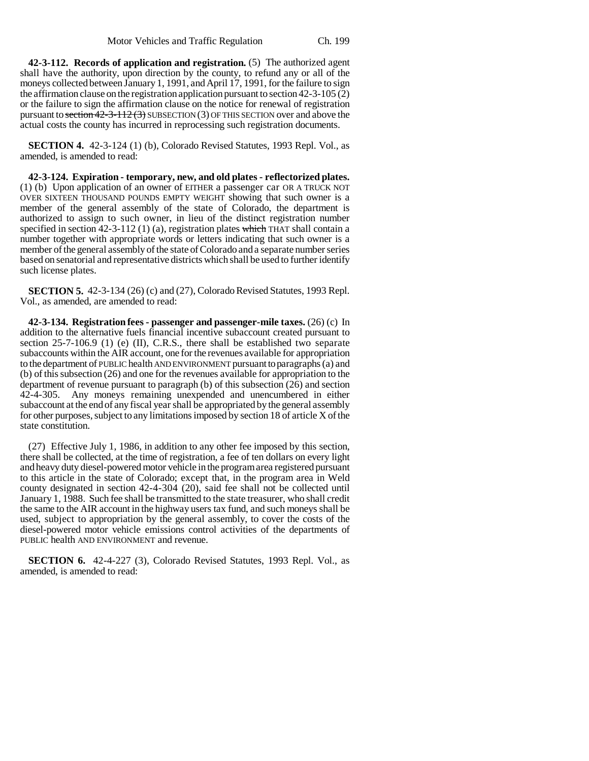**42-3-112. Records of application and registration.** (5) The authorized agent shall have the authority, upon direction by the county, to refund any or all of the moneys collected between January 1, 1991, and April 17, 1991, for the failure to sign the affirmation clause on the registration application pursuant to section 42-3-105 (2) or the failure to sign the affirmation clause on the notice for renewal of registration pursuant to section  $42-3-112(3)$  SUBSECTION (3) OF THIS SECTION over and above the actual costs the county has incurred in reprocessing such registration documents.

**SECTION 4.** 42-3-124 (1) (b), Colorado Revised Statutes, 1993 Repl. Vol., as amended, is amended to read:

**42-3-124. Expiration - temporary, new, and old plates - reflectorized plates.** (1) (b) Upon application of an owner of EITHER a passenger car OR A TRUCK NOT OVER SIXTEEN THOUSAND POUNDS EMPTY WEIGHT showing that such owner is a member of the general assembly of the state of Colorado, the department is authorized to assign to such owner, in lieu of the distinct registration number specified in section 42-3-112 (1) (a), registration plates which THAT shall contain a number together with appropriate words or letters indicating that such owner is a member of the general assembly of the state of Colorado and a separate number series based on senatorial and representative districts which shall be used to further identify such license plates.

**SECTION 5.** 42-3-134 (26) (c) and (27), Colorado Revised Statutes, 1993 Repl. Vol., as amended, are amended to read:

**42-3-134. Registration fees - passenger and passenger-mile taxes.** (26) (c) In addition to the alternative fuels financial incentive subaccount created pursuant to section 25-7-106.9 (1) (e) (II), C.R.S., there shall be established two separate subaccounts within the AIR account, one for the revenues available for appropriation to the department of PUBLIC health AND ENVIRONMENT pursuant to paragraphs (a) and (b) of this subsection (26) and one for the revenues available for appropriation to the department of revenue pursuant to paragraph (b) of this subsection (26) and section 42-4-305. Any moneys remaining unexpended and unencumbered in either subaccount at the end of any fiscal year shall be appropriated by the general assembly for other purposes, subject to any limitations imposed by section 18 of article X of the state constitution.

(27) Effective July 1, 1986, in addition to any other fee imposed by this section, there shall be collected, at the time of registration, a fee of ten dollars on every light and heavy duty diesel-powered motor vehicle in the program area registered pursuant to this article in the state of Colorado; except that, in the program area in Weld county designated in section 42-4-304 (20), said fee shall not be collected until January 1, 1988. Such fee shall be transmitted to the state treasurer, who shall credit the same to the AIR account in the highway users tax fund, and such moneys shall be used, subject to appropriation by the general assembly, to cover the costs of the diesel-powered motor vehicle emissions control activities of the departments of PUBLIC health AND ENVIRONMENT and revenue.

**SECTION 6.** 42-4-227 (3), Colorado Revised Statutes, 1993 Repl. Vol., as amended, is amended to read: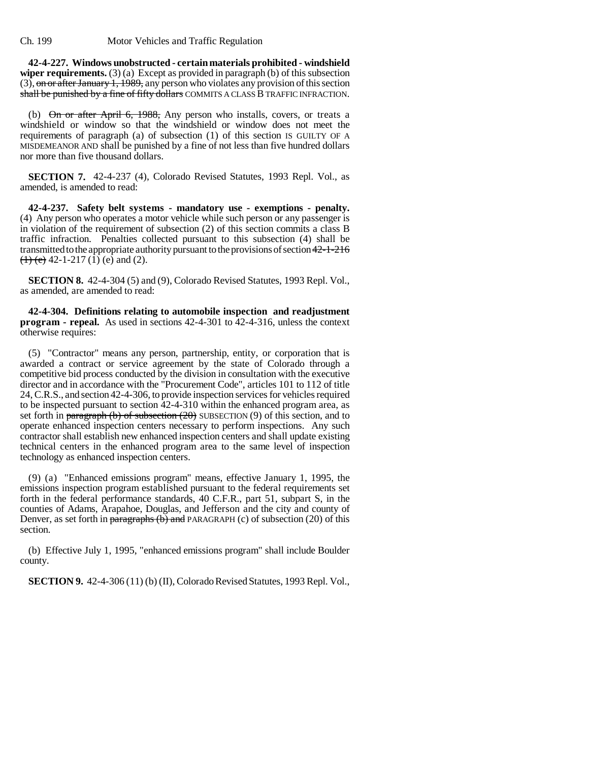**42-4-227. Windows unobstructed - certain materials prohibited - windshield wiper requirements.** (3) (a) Except as provided in paragraph (b) of this subsection (3), on or after January 1, 1989, any person who violates any provision of this section shall be punished by a fine of fifty dollars COMMITS A CLASS B TRAFFIC INFRACTION.

(b)  $\Theta$ n or after April 6, 1988, Any person who installs, covers, or treats a windshield or window so that the windshield or window does not meet the requirements of paragraph (a) of subsection (1) of this section IS GUILTY OF A MISDEMEANOR AND shall be punished by a fine of not less than five hundred dollars nor more than five thousand dollars.

**SECTION 7.** 42-4-237 (4), Colorado Revised Statutes, 1993 Repl. Vol., as amended, is amended to read:

**42-4-237. Safety belt systems - mandatory use - exemptions - penalty.** (4) Any person who operates a motor vehicle while such person or any passenger is in violation of the requirement of subsection (2) of this section commits a class B traffic infraction. Penalties collected pursuant to this subsection (4) shall be transmitted to the appropriate authority pursuant to the provisions of section 42-1-216  $(1)$  (e) 42-1-217 (1) (e) and (2).

**SECTION 8.** 42-4-304 (5) and (9), Colorado Revised Statutes, 1993 Repl. Vol., as amended, are amended to read:

**42-4-304. Definitions relating to automobile inspection and readjustment program - repeal.** As used in sections 42-4-301 to 42-4-316, unless the context otherwise requires:

(5) "Contractor" means any person, partnership, entity, or corporation that is awarded a contract or service agreement by the state of Colorado through a competitive bid process conducted by the division in consultation with the executive director and in accordance with the "Procurement Code", articles 101 to 112 of title 24, C.R.S., and section 42-4-306, to provide inspection services for vehicles required to be inspected pursuant to section 42-4-310 within the enhanced program area, as set forth in paragraph (b) of subsection  $(20)$  SUBSECTION  $(9)$  of this section, and to operate enhanced inspection centers necessary to perform inspections. Any such contractor shall establish new enhanced inspection centers and shall update existing technical centers in the enhanced program area to the same level of inspection technology as enhanced inspection centers.

(9) (a) "Enhanced emissions program" means, effective January 1, 1995, the emissions inspection program established pursuant to the federal requirements set forth in the federal performance standards, 40 C.F.R., part 51, subpart S, in the counties of Adams, Arapahoe, Douglas, and Jefferson and the city and county of Denver, as set forth in paragraphs  $(b)$  and PARAGRAPH (c) of subsection (20) of this section.

(b) Effective July 1, 1995, "enhanced emissions program" shall include Boulder county.

**SECTION 9.** 42-4-306 (11) (b) (II), Colorado Revised Statutes, 1993 Repl. Vol.,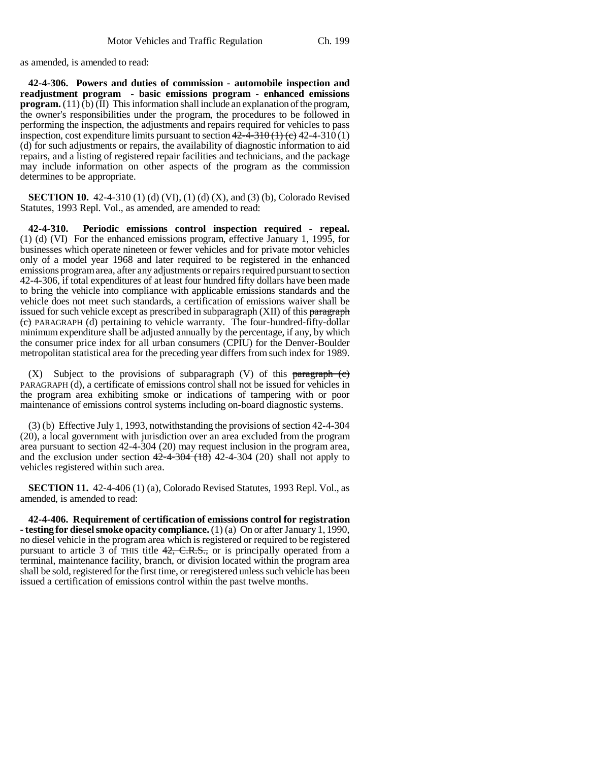as amended, is amended to read:

**42-4-306. Powers and duties of commission - automobile inspection and readjustment program - basic emissions program - enhanced emissions program.** (11) (b) (II) This information shall include an explanation of the program, the owner's responsibilities under the program, the procedures to be followed in performing the inspection, the adjustments and repairs required for vehicles to pass inspection, cost expenditure limits pursuant to section  $42 - 4 - 310$  (1) (c) 42-4-310 (1) (d) for such adjustments or repairs, the availability of diagnostic information to aid repairs, and a listing of registered repair facilities and technicians, and the package may include information on other aspects of the program as the commission determines to be appropriate.

**SECTION 10.** 42-4-310 (1) (d) (VI), (1) (d) (X), and (3) (b), Colorado Revised Statutes, 1993 Repl. Vol., as amended, are amended to read:

**42-4-310. Periodic emissions control inspection required - repeal.** (1) (d) (VI) For the enhanced emissions program, effective January 1, 1995, for businesses which operate nineteen or fewer vehicles and for private motor vehicles only of a model year 1968 and later required to be registered in the enhanced emissions program area, after any adjustments or repairs required pursuant to section 42-4-306, if total expenditures of at least four hundred fifty dollars have been made to bring the vehicle into compliance with applicable emissions standards and the vehicle does not meet such standards, a certification of emissions waiver shall be issued for such vehicle except as prescribed in subparagraph (XII) of this paragraph  $(e)$  PARAGRAPH (d) pertaining to vehicle warranty. The four-hundred-fifty-dollar minimum expenditure shall be adjusted annually by the percentage, if any, by which the consumer price index for all urban consumers (CPIU) for the Denver-Boulder metropolitan statistical area for the preceding year differs from such index for 1989.

 $(X)$  Subject to the provisions of subparagraph  $(V)$  of this paragraph  $(e)$ PARAGRAPH (d), a certificate of emissions control shall not be issued for vehicles in the program area exhibiting smoke or indications of tampering with or poor maintenance of emissions control systems including on-board diagnostic systems.

(3) (b) Effective July 1, 1993, notwithstanding the provisions of section 42-4-304 (20), a local government with jurisdiction over an area excluded from the program area pursuant to section 42-4-304 (20) may request inclusion in the program area, and the exclusion under section  $42-4-304(18)$  42-4-304 (20) shall not apply to vehicles registered within such area.

**SECTION 11.** 42-4-406 (1) (a), Colorado Revised Statutes, 1993 Repl. Vol., as amended, is amended to read:

**42-4-406. Requirement of certification of emissions control for registration - testing for diesel smoke opacity compliance.** (1) (a) On or after January 1, 1990, no diesel vehicle in the program area which is registered or required to be registered pursuant to article 3 of THIS title 42, C.R.S., or is principally operated from a terminal, maintenance facility, branch, or division located within the program area shall be sold, registered for the first time, or reregistered unless such vehicle has been issued a certification of emissions control within the past twelve months.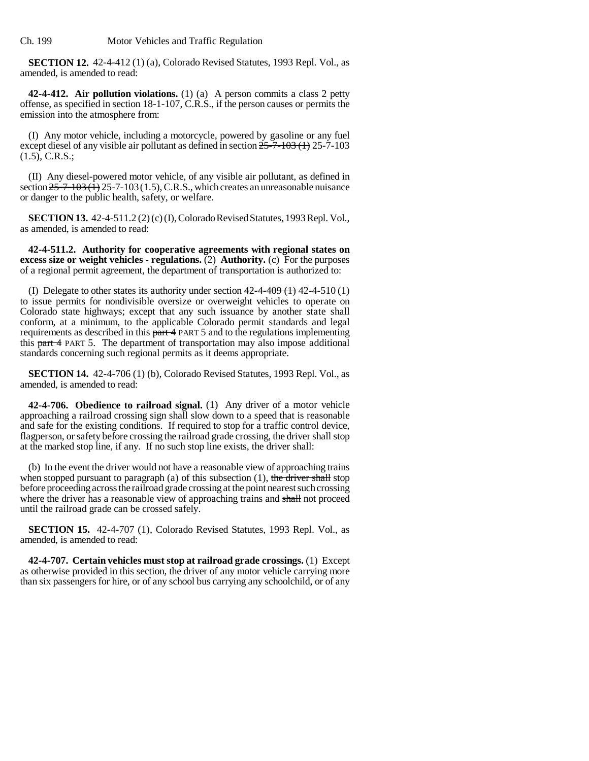Ch. 199 Motor Vehicles and Traffic Regulation

**SECTION 12.** 42-4-412 (1) (a), Colorado Revised Statutes, 1993 Repl. Vol., as amended, is amended to read:

**42-4-412. Air pollution violations.** (1) (a) A person commits a class 2 petty offense, as specified in section 18-1-107, C.R.S., if the person causes or permits the emission into the atmosphere from:

(I) Any motor vehicle, including a motorcycle, powered by gasoline or any fuel except diesel of any visible air pollutant as defined in section  $25-7-103$  (1) 25-7-103 (1.5), C.R.S.;

(II) Any diesel-powered motor vehicle, of any visible air pollutant, as defined in section  $25-7-103$  ( $1/1$ ) 25-7-103 (1.5), C.R.S., which creates an unreasonable nuisance or danger to the public health, safety, or welfare.

**SECTION 13.** 42-4-511.2 (2) (c) (I), Colorado Revised Statutes, 1993 Repl. Vol., as amended, is amended to read:

**42-4-511.2. Authority for cooperative agreements with regional states on excess size or weight vehicles - regulations.** (2) **Authority.** (c) For the purposes of a regional permit agreement, the department of transportation is authorized to:

(I) Delegate to other states its authority under section  $42-4-409(1)$  42-4-510 (1) to issue permits for nondivisible oversize or overweight vehicles to operate on Colorado state highways; except that any such issuance by another state shall conform, at a minimum, to the applicable Colorado permit standards and legal requirements as described in this part 4 PART 5 and to the regulations implementing this part 4 PART 5. The department of transportation may also impose additional standards concerning such regional permits as it deems appropriate.

**SECTION 14.** 42-4-706 (1) (b), Colorado Revised Statutes, 1993 Repl. Vol., as amended, is amended to read:

**42-4-706. Obedience to railroad signal.** (1) Any driver of a motor vehicle approaching a railroad crossing sign shall slow down to a speed that is reasonable and safe for the existing conditions. If required to stop for a traffic control device, flagperson, or safety before crossing the railroad grade crossing, the driver shall stop at the marked stop line, if any. If no such stop line exists, the driver shall:

(b) In the event the driver would not have a reasonable view of approaching trains when stopped pursuant to paragraph (a) of this subsection  $(1)$ , the driver shall stop before proceeding across the railroad grade crossing at the point nearest such crossing where the driver has a reasonable view of approaching trains and shall not proceed until the railroad grade can be crossed safely.

**SECTION 15.** 42-4-707 (1), Colorado Revised Statutes, 1993 Repl. Vol., as amended, is amended to read:

**42-4-707. Certain vehicles must stop at railroad grade crossings.** (1) Except as otherwise provided in this section, the driver of any motor vehicle carrying more than six passengers for hire, or of any school bus carrying any schoolchild, or of any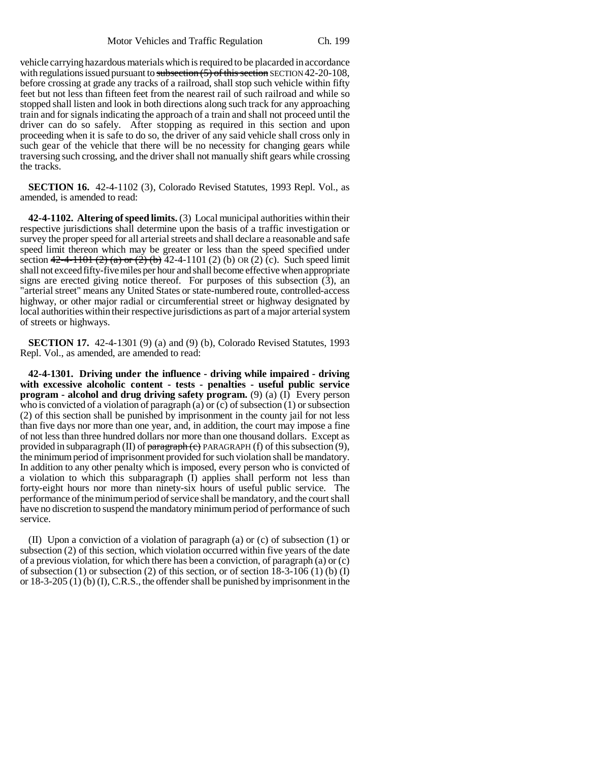vehicle carrying hazardous materials which is required to be placarded in accordance with regulations issued pursuant to subsection  $(5)$  of this section SECTION 42-20-108, before crossing at grade any tracks of a railroad, shall stop such vehicle within fifty feet but not less than fifteen feet from the nearest rail of such railroad and while so stopped shall listen and look in both directions along such track for any approaching train and for signals indicating the approach of a train and shall not proceed until the driver can do so safely. After stopping as required in this section and upon proceeding when it is safe to do so, the driver of any said vehicle shall cross only in such gear of the vehicle that there will be no necessity for changing gears while traversing such crossing, and the driver shall not manually shift gears while crossing the tracks.

**SECTION 16.** 42-4-1102 (3), Colorado Revised Statutes, 1993 Repl. Vol., as amended, is amended to read:

**42-4-1102. Altering of speed limits.** (3) Local municipal authorities within their respective jurisdictions shall determine upon the basis of a traffic investigation or survey the proper speed for all arterial streets and shall declare a reasonable and safe speed limit thereon which may be greater or less than the speed specified under section  $42-4-1101 (2) (a) or (2) (b) 42-4-1101 (2) (b) or (2) (c).$  Such speed limit shall not exceed fifty-five miles per hour and shall become effective when appropriate signs are erected giving notice thereof. For purposes of this subsection (3), an "arterial street" means any United States or state-numbered route, controlled-access highway, or other major radial or circumferential street or highway designated by local authorities within their respective jurisdictions as part of a major arterial system of streets or highways.

**SECTION 17.** 42-4-1301 (9) (a) and (9) (b), Colorado Revised Statutes, 1993 Repl. Vol., as amended, are amended to read:

**42-4-1301. Driving under the influence - driving while impaired - driving with excessive alcoholic content - tests - penalties - useful public service program - alcohol and drug driving safety program.** (9) (a) (I) Every person who is convicted of a violation of paragraph (a) or (c) of subsection (1) or subsection (2) of this section shall be punished by imprisonment in the county jail for not less than five days nor more than one year, and, in addition, the court may impose a fine of not less than three hundred dollars nor more than one thousand dollars. Except as provided in subparagraph (II) of  $\frac{1}{2}$  paragraph (c) PARAGRAPH (f) of this subsection (9), the minimum period of imprisonment provided for such violation shall be mandatory. In addition to any other penalty which is imposed, every person who is convicted of a violation to which this subparagraph (I) applies shall perform not less than forty-eight hours nor more than ninety-six hours of useful public service. The performance of the minimum period of service shall be mandatory, and the court shall have no discretion to suspend the mandatory minimum period of performance of such service.

(II) Upon a conviction of a violation of paragraph (a) or (c) of subsection (1) or subsection (2) of this section, which violation occurred within five years of the date of a previous violation, for which there has been a conviction, of paragraph (a) or  $(c)$ of subsection (1) or subsection (2) of this section, or of section  $18-3-106$  (1) (b) (I) or 18-3-205 (1) (b) (I), C.R.S., the offender shall be punished by imprisonment in the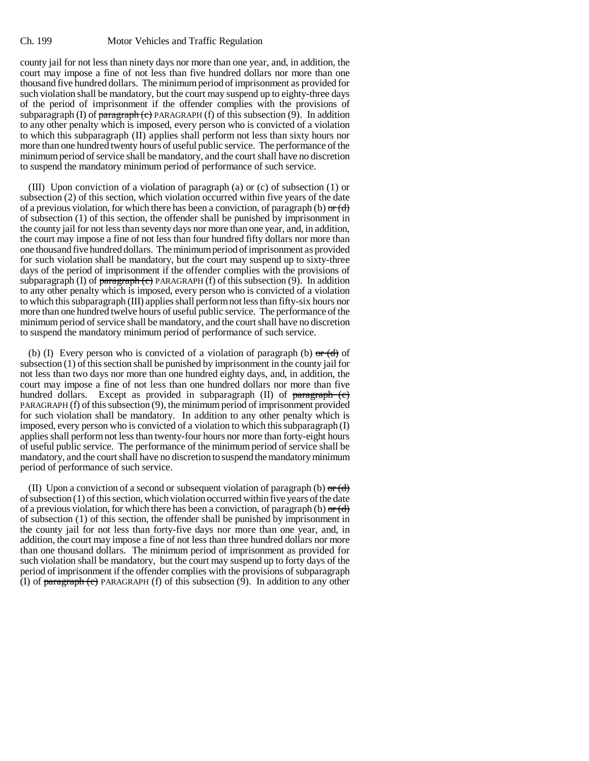county jail for not less than ninety days nor more than one year, and, in addition, the court may impose a fine of not less than five hundred dollars nor more than one thousand five hundred dollars. The minimum period of imprisonment as provided for such violation shall be mandatory, but the court may suspend up to eighty-three days of the period of imprisonment if the offender complies with the provisions of subparagraph (I) of  $\frac{1}{2}$  paragraph (c) PARAGRAPH (f) of this subsection (9). In addition to any other penalty which is imposed, every person who is convicted of a violation to which this subparagraph (II) applies shall perform not less than sixty hours nor more than one hundred twenty hours of useful public service. The performance of the minimum period of service shall be mandatory, and the court shall have no discretion to suspend the mandatory minimum period of performance of such service.

(III) Upon conviction of a violation of paragraph (a) or (c) of subsection (1) or subsection (2) of this section, which violation occurred within five years of the date of a previous violation, for which there has been a conviction, of paragraph (b)  $\sigma$  (d) of subsection (1) of this section, the offender shall be punished by imprisonment in the county jail for not less than seventy days nor more than one year, and, in addition, the court may impose a fine of not less than four hundred fifty dollars nor more than one thousand five hundred dollars. The minimum period of imprisonment as provided for such violation shall be mandatory, but the court may suspend up to sixty-three days of the period of imprisonment if the offender complies with the provisions of subparagraph (I) of paragraph (c) PARAGRAPH (f) of this subsection (9). In addition to any other penalty which is imposed, every person who is convicted of a violation to which this subparagraph (III) applies shall perform not less than fifty-six hours nor more than one hundred twelve hours of useful public service. The performance of the minimum period of service shall be mandatory, and the court shall have no discretion to suspend the mandatory minimum period of performance of such service.

(b) (I) Every person who is convicted of a violation of paragraph (b)  $\sigma$ r (d) of subsection (1) of this section shall be punished by imprisonment in the county jail for not less than two days nor more than one hundred eighty days, and, in addition, the court may impose a fine of not less than one hundred dollars nor more than five hundred dollars. Except as provided in subparagraph (II) of paragraph (c) PARAGRAPH (f) of this subsection (9), the minimum period of imprisonment provided for such violation shall be mandatory. In addition to any other penalty which is imposed, every person who is convicted of a violation to which this subparagraph (I) applies shall perform not less than twenty-four hours nor more than forty-eight hours of useful public service. The performance of the minimum period of service shall be mandatory, and the court shall have no discretion to suspend the mandatory minimum period of performance of such service.

(II) Upon a conviction of a second or subsequent violation of paragraph (b)  $\sigma$  (d) of subsection (1) of this section, which violation occurred within five years of the date of a previous violation, for which there has been a conviction, of paragraph (b)  $\sigma$  (d) of subsection (1) of this section, the offender shall be punished by imprisonment in the county jail for not less than forty-five days nor more than one year, and, in addition, the court may impose a fine of not less than three hundred dollars nor more than one thousand dollars. The minimum period of imprisonment as provided for such violation shall be mandatory, but the court may suspend up to forty days of the period of imprisonment if the offender complies with the provisions of subparagraph (I) of  $\frac{\text{parameter of}}{\text{target}}$  PARAGRAPH (f) of this subsection (9). In addition to any other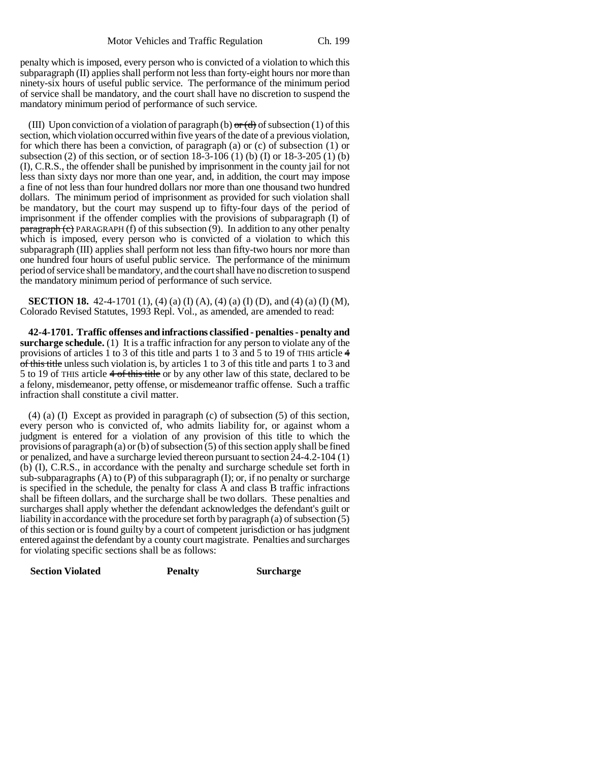penalty which is imposed, every person who is convicted of a violation to which this subparagraph (II) applies shall perform not less than forty-eight hours nor more than ninety-six hours of useful public service. The performance of the minimum period of service shall be mandatory, and the court shall have no discretion to suspend the mandatory minimum period of performance of such service.

(III) Upon conviction of a violation of paragraph (b)  $\sigma$  (d) of subsection (1) of this section, which violation occurred within five years of the date of a previous violation, for which there has been a conviction, of paragraph (a) or (c) of subsection (1) or subsection (2) of this section, or of section  $18-3-106$  (1) (b) (I) or  $18-3-205$  (1) (b) (I), C.R.S., the offender shall be punished by imprisonment in the county jail for not less than sixty days nor more than one year, and, in addition, the court may impose a fine of not less than four hundred dollars nor more than one thousand two hundred dollars. The minimum period of imprisonment as provided for such violation shall be mandatory, but the court may suspend up to fifty-four days of the period of imprisonment if the offender complies with the provisions of subparagraph (I) of  $\frac{\text{param}(\mathbf{c})}{\text{param}(\mathbf{c})}$  PARAGRAPH (f) of this subsection (9). In addition to any other penalty which is imposed, every person who is convicted of a violation to which this subparagraph (III) applies shall perform not less than fifty-two hours nor more than one hundred four hours of useful public service. The performance of the minimum period of service shall be mandatory, and the court shall have no discretion to suspend the mandatory minimum period of performance of such service.

**SECTION 18.** 42-4-1701 (1), (4) (a) (I) (A), (4) (a) (I) (D), and (4) (a) (I) (M), Colorado Revised Statutes, 1993 Repl. Vol., as amended, are amended to read:

**42-4-1701. Traffic offenses and infractions classified - penalties - penalty and surcharge schedule.** (1) It is a traffic infraction for any person to violate any of the provisions of articles 1 to 3 of this title and parts 1 to 3 and 5 to 19 of THIS article 4 of this title unless such violation is, by articles 1 to 3 of this title and parts 1 to 3 and 5 to 19 of THIS article 4 of this title or by any other law of this state, declared to be a felony, misdemeanor, petty offense, or misdemeanor traffic offense. Such a traffic infraction shall constitute a civil matter.

(4) (a) (I) Except as provided in paragraph (c) of subsection (5) of this section, every person who is convicted of, who admits liability for, or against whom a judgment is entered for a violation of any provision of this title to which the provisions of paragraph (a) or (b) of subsection (5) of this section apply shall be fined or penalized, and have a surcharge levied thereon pursuant to section 24-4.2-104 (1) (b) (I), C.R.S., in accordance with the penalty and surcharge schedule set forth in sub-subparagraphs  $(A)$  to  $(P)$  of this subparagraph  $(I)$ ; or, if no penalty or surcharge is specified in the schedule, the penalty for class A and class B traffic infractions shall be fifteen dollars, and the surcharge shall be two dollars. These penalties and surcharges shall apply whether the defendant acknowledges the defendant's guilt or liability in accordance with the procedure set forth by paragraph (a) of subsection (5) of this section or is found guilty by a court of competent jurisdiction or has judgment entered against the defendant by a county court magistrate. Penalties and surcharges for violating specific sections shall be as follows:

| <b>Section Violated</b> | <b>Penalty</b> | <b>Surcharge</b> |
|-------------------------|----------------|------------------|
|                         |                |                  |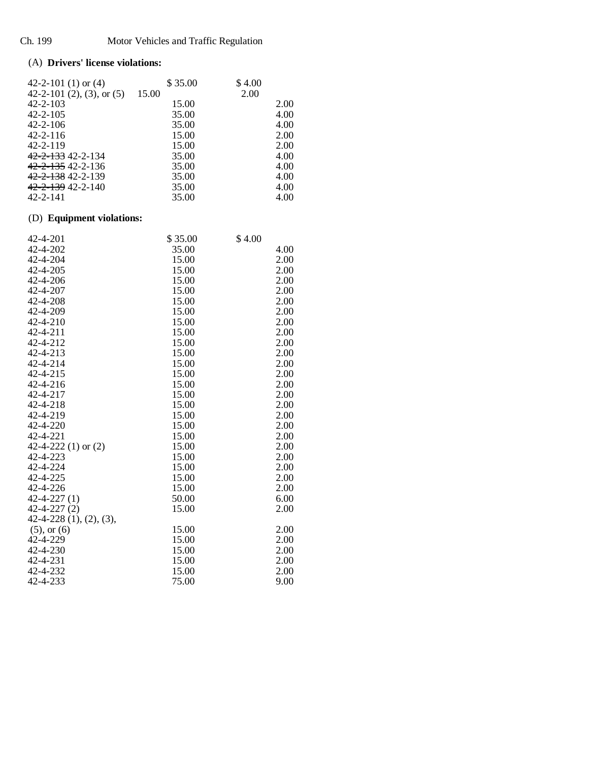## (A) **Drivers' license violations:**

| 42-2-101 (1) or (4)          | \$35.00 | \$4.00 |
|------------------------------|---------|--------|
| 42-2-101 (2), (3), or $(5)$  | 15.00   | 2.00   |
| $42 - 2 - 103$               | 15.00   | 2.00   |
| $42 - 2 - 105$               | 35.00   | 4.00   |
| $42 - 2 - 106$               | 35.00   | 4.00   |
| $42 - 2 - 116$               | 15.00   | 2.00   |
| $42 - 2 - 119$               | 15.00   | 2.00   |
| 42-2-133 42-2-134            | 35.00   | 4.00   |
| <del>42-2-135</del> 42-2-136 | 35.00   | 4.00   |
| 42-2-138 42-2-139            | 35.00   | 4.00   |
| 42-2-139 42-2-140            | 35.00   | 4.00   |
| 42-2-141                     | 35.00   | 4.00   |

# (D) **Equipment violations:**

| 42-4-201                 | \$35.00 | \$4.00 |
|--------------------------|---------|--------|
| 42-4-202                 | 35.00   | 4.00   |
| 42-4-204                 | 15.00   | 2.00   |
| 42-4-205                 | 15.00   | 2.00   |
| 42-4-206                 | 15.00   | 2.00   |
| 42-4-207                 | 15.00   | 2.00   |
| 42-4-208                 | 15.00   | 2.00   |
| 42-4-209                 | 15.00   | 2.00   |
| 42-4-210                 | 15.00   | 2.00   |
| 42-4-211                 | 15.00   | 2.00   |
| 42-4-212                 | 15.00   | 2.00   |
| 42-4-213                 | 15.00   | 2.00   |
| 42-4-214                 | 15.00   | 2.00   |
| 42-4-215                 | 15.00   | 2.00   |
| 42-4-216                 | 15.00   | 2.00   |
| 42-4-217                 | 15.00   | 2.00   |
| 42-4-218                 | 15.00   | 2.00   |
| 42-4-219                 | 15.00   | 2.00   |
| 42-4-220                 | 15.00   | 2.00   |
| 42-4-221                 | 15.00   | 2.00   |
| 42-4-222 $(1)$ or $(2)$  | 15.00   | 2.00   |
| 42-4-223                 | 15.00   | 2.00   |
| 42-4-224                 | 15.00   | 2.00   |
| 42-4-225                 | 15.00   | 2.00   |
| 42-4-226                 | 15.00   | 2.00   |
| $42 - 4 - 227(1)$        | 50.00   | 6.00   |
| $42 - 4 - 227(2)$        | 15.00   | 2.00   |
| $42-4-228(1), (2), (3),$ |         |        |
| $(5)$ , or $(6)$         | 15.00   | 2.00   |
| 42-4-229                 | 15.00   | 2.00   |
| 42-4-230                 | 15.00   | 2.00   |
| 42-4-231                 | 15.00   | 2.00   |
| 42-4-232                 | 15.00   | 2.00   |
| 42-4-233                 | 75.00   | 9.00   |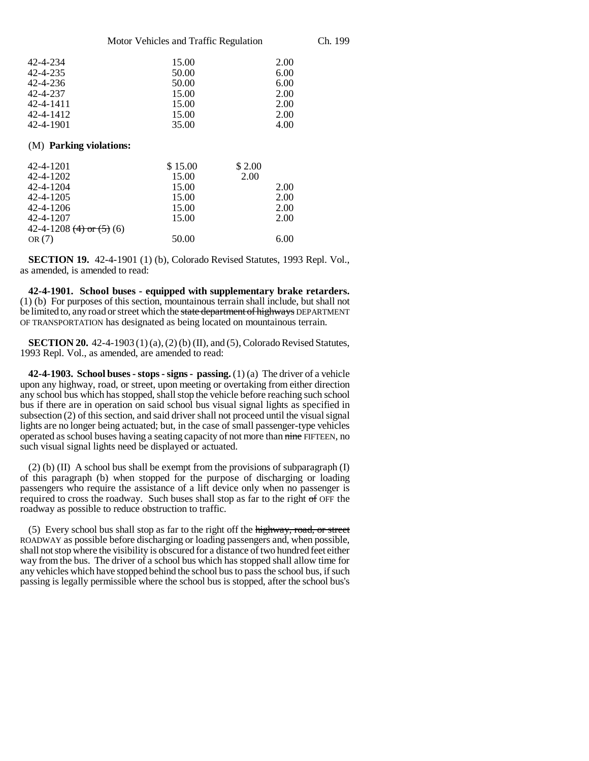Motor Vehicles and Traffic Regulation Ch. 199

| 2.00<br>6.00 |
|--------------|
|              |
|              |
| 6.00         |
| 2.00         |
| 2.00         |
| 2.00         |
| 4.00         |
|              |
|              |
|              |

| $TL-T-1LVI$                  | 91.9.00 | $\cup$ 4.00 |
|------------------------------|---------|-------------|
| 42-4-1202                    | 15.00   | 2.00        |
| 42-4-1204                    | 15.00   | 2.00        |
| 42-4-1205                    | 15.00   | 2.00        |
| 42-4-1206                    | 15.00   | 2.00        |
| 42-4-1207                    | 15.00   | 2.00        |
| 42-4-1208 $(4)$ or $(5)$ (6) |         |             |
| OR(7)                        | 50.00   | 6.00        |
|                              |         |             |

**SECTION 19.** 42-4-1901 (1) (b), Colorado Revised Statutes, 1993 Repl. Vol., as amended, is amended to read:

**42-4-1901. School buses - equipped with supplementary brake retarders.** (1) (b) For purposes of this section, mountainous terrain shall include, but shall not be limited to, any road or street which the state department of highways DEPARTMENT OF TRANSPORTATION has designated as being located on mountainous terrain.

**SECTION 20.** 42-4-1903 (1) (a), (2) (b) (II), and (5), Colorado Revised Statutes, 1993 Repl. Vol., as amended, are amended to read:

**42-4-1903. School buses - stops - signs - passing.** (1) (a) The driver of a vehicle upon any highway, road, or street, upon meeting or overtaking from either direction any school bus which has stopped, shall stop the vehicle before reaching such school bus if there are in operation on said school bus visual signal lights as specified in subsection (2) of this section, and said driver shall not proceed until the visual signal lights are no longer being actuated; but, in the case of small passenger-type vehicles operated as school buses having a seating capacity of not more than nine FIFTEEN, no such visual signal lights need be displayed or actuated.

(2) (b) (II) A school bus shall be exempt from the provisions of subparagraph (I) of this paragraph (b) when stopped for the purpose of discharging or loading passengers who require the assistance of a lift device only when no passenger is required to cross the roadway. Such buses shall stop as far to the right of OFF the roadway as possible to reduce obstruction to traffic.

(5) Every school bus shall stop as far to the right off the highway, road, or street ROADWAY as possible before discharging or loading passengers and, when possible, shall not stop where the visibility is obscured for a distance of two hundred feet either way from the bus. The driver of a school bus which has stopped shall allow time for any vehicles which have stopped behind the school bus to pass the school bus, if such passing is legally permissible where the school bus is stopped, after the school bus's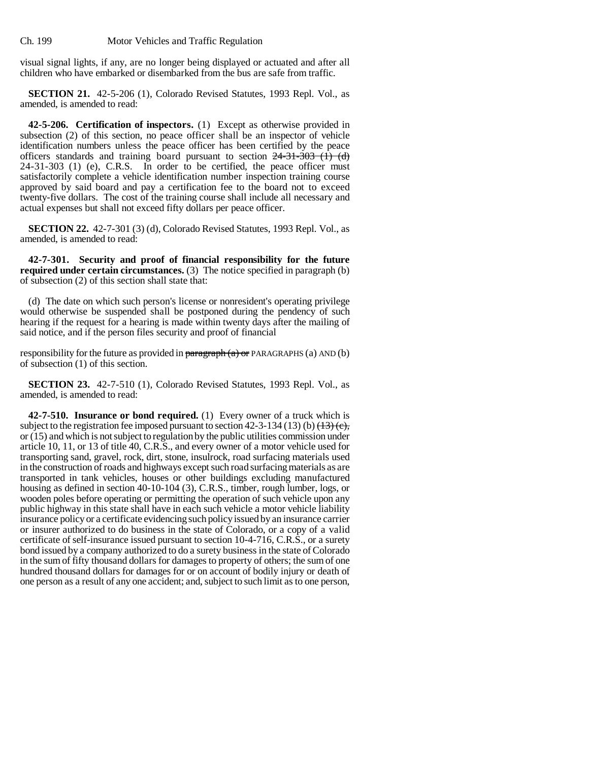Ch. 199 Motor Vehicles and Traffic Regulation

visual signal lights, if any, are no longer being displayed or actuated and after all children who have embarked or disembarked from the bus are safe from traffic.

**SECTION 21.** 42-5-206 (1), Colorado Revised Statutes, 1993 Repl. Vol., as amended, is amended to read:

**42-5-206. Certification of inspectors.** (1) Except as otherwise provided in subsection (2) of this section, no peace officer shall be an inspector of vehicle identification numbers unless the peace officer has been certified by the peace officers standards and training board pursuant to section  $24-31-303$  (1) (d) 24-31-303 (1) (e), C.R.S. In order to be certified, the peace officer must satisfactorily complete a vehicle identification number inspection training course approved by said board and pay a certification fee to the board not to exceed twenty-five dollars. The cost of the training course shall include all necessary and actual expenses but shall not exceed fifty dollars per peace officer.

**SECTION 22.** 42-7-301 (3) (d), Colorado Revised Statutes, 1993 Repl. Vol., as amended, is amended to read:

**42-7-301. Security and proof of financial responsibility for the future required under certain circumstances.** (3) The notice specified in paragraph (b) of subsection (2) of this section shall state that:

(d) The date on which such person's license or nonresident's operating privilege would otherwise be suspended shall be postponed during the pendency of such hearing if the request for a hearing is made within twenty days after the mailing of said notice, and if the person files security and proof of financial

responsibility for the future as provided in  $\frac{\partial P}{\partial x}$  = PARAGRAPHS (a) AND (b) of subsection (1) of this section.

**SECTION 23.** 42-7-510 (1), Colorado Revised Statutes, 1993 Repl. Vol., as amended, is amended to read:

**42-7-510. Insurance or bond required.** (1) Every owner of a truck which is subject to the registration fee imposed pursuant to section  $42-3-134$  (13) (b)  $\left(\frac{13}{2}\right)\left(\frac{1}{2}\right)$ or (15) and which is not subject to regulation by the public utilities commission under article 10, 11, or 13 of title 40, C.R.S., and every owner of a motor vehicle used for transporting sand, gravel, rock, dirt, stone, insulrock, road surfacing materials used in the construction of roads and highways except such road surfacing materials as are transported in tank vehicles, houses or other buildings excluding manufactured housing as defined in section 40-10-104 (3), C.R.S., timber, rough lumber, logs, or wooden poles before operating or permitting the operation of such vehicle upon any public highway in this state shall have in each such vehicle a motor vehicle liability insurance policy or a certificate evidencing such policy issued by an insurance carrier or insurer authorized to do business in the state of Colorado, or a copy of a valid certificate of self-insurance issued pursuant to section 10-4-716, C.R.S., or a surety bond issued by a company authorized to do a surety business in the state of Colorado in the sum of fifty thousand dollars for damages to property of others; the sum of one hundred thousand dollars for damages for or on account of bodily injury or death of one person as a result of any one accident; and, subject to such limit as to one person,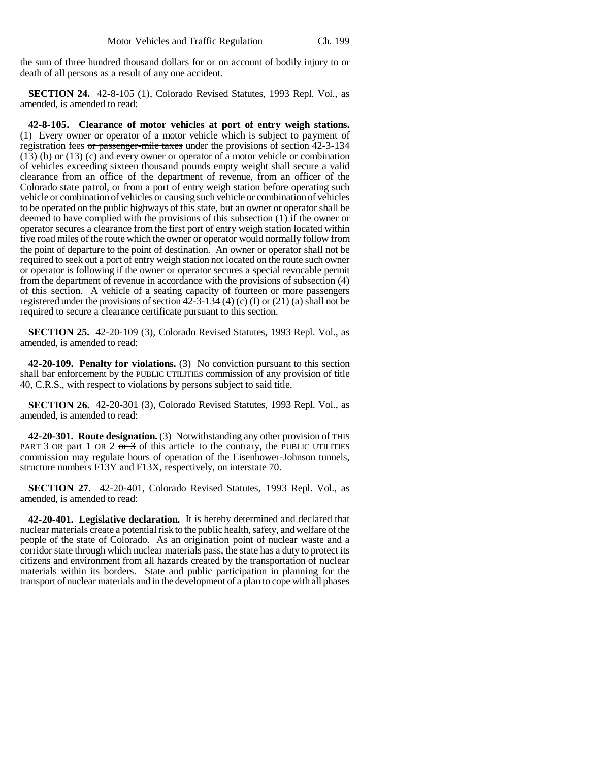the sum of three hundred thousand dollars for or on account of bodily injury to or death of all persons as a result of any one accident.

**SECTION 24.** 42-8-105 (1), Colorado Revised Statutes, 1993 Repl. Vol., as amended, is amended to read:

**42-8-105. Clearance of motor vehicles at port of entry weigh stations.** (1) Every owner or operator of a motor vehicle which is subject to payment of registration fees  $\sigma r$  passenger-mile taxes under the provisions of section 42-3-134 (13) (b)  $\sigma$  (13) (c) and every owner or operator of a motor vehicle or combination of vehicles exceeding sixteen thousand pounds empty weight shall secure a valid clearance from an office of the department of revenue, from an officer of the Colorado state patrol, or from a port of entry weigh station before operating such vehicle or combination of vehicles or causing such vehicle or combination of vehicles to be operated on the public highways of this state, but an owner or operator shall be deemed to have complied with the provisions of this subsection (1) if the owner or operator secures a clearance from the first port of entry weigh station located within five road miles of the route which the owner or operator would normally follow from the point of departure to the point of destination. An owner or operator shall not be required to seek out a port of entry weigh station not located on the route such owner or operator is following if the owner or operator secures a special revocable permit from the department of revenue in accordance with the provisions of subsection (4) of this section. A vehicle of a seating capacity of fourteen or more passengers registered under the provisions of section 42-3-134 (4) (c) (I) or (21) (a) shall not be required to secure a clearance certificate pursuant to this section.

**SECTION 25.** 42-20-109 (3), Colorado Revised Statutes, 1993 Repl. Vol., as amended, is amended to read:

**42-20-109. Penalty for violations.** (3) No conviction pursuant to this section shall bar enforcement by the PUBLIC UTILITIES commission of any provision of title 40, C.R.S., with respect to violations by persons subject to said title.

**SECTION 26.** 42-20-301 (3), Colorado Revised Statutes, 1993 Repl. Vol., as amended, is amended to read:

**42-20-301. Route designation.** (3) Notwithstanding any other provision of THIS PART 3 OR part 1 OR 2  $\sigma$  3 of this article to the contrary, the PUBLIC UTILITIES commission may regulate hours of operation of the Eisenhower-Johnson tunnels, structure numbers F13Y and F13X, respectively, on interstate 70.

**SECTION 27.** 42-20-401, Colorado Revised Statutes, 1993 Repl. Vol., as amended, is amended to read:

**42-20-401. Legislative declaration.** It is hereby determined and declared that nuclear materials create a potential risk to the public health, safety, and welfare of the people of the state of Colorado. As an origination point of nuclear waste and a corridor state through which nuclear materials pass, the state has a duty to protect its citizens and environment from all hazards created by the transportation of nuclear materials within its borders. State and public participation in planning for the transport of nuclear materials and in the development of a plan to cope with all phases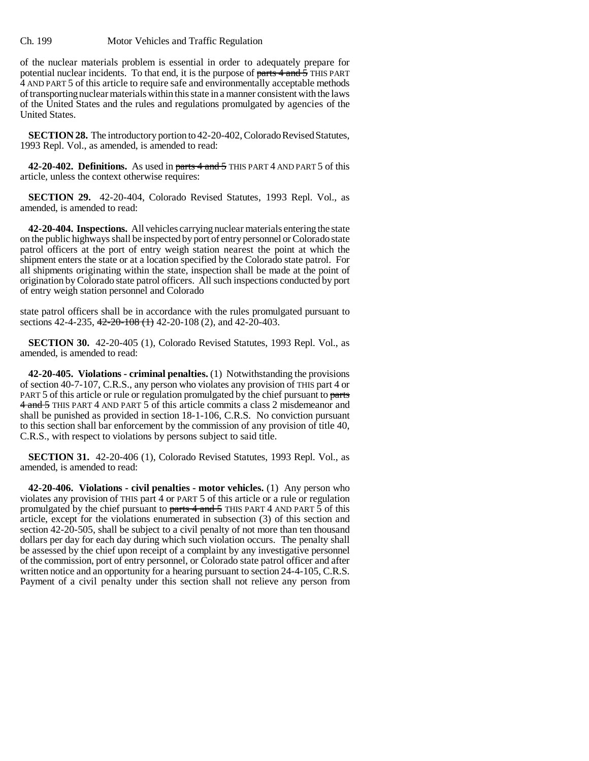#### Ch. 199 Motor Vehicles and Traffic Regulation

of the nuclear materials problem is essential in order to adequately prepare for potential nuclear incidents. To that end, it is the purpose of parts 4 and 5 THIS PART 4 AND PART 5 of this article to require safe and environmentally acceptable methods of transporting nuclear materials within this state in a manner consistent with the laws of the United States and the rules and regulations promulgated by agencies of the United States.

**SECTION 28.** The introductory portion to 42-20-402, Colorado Revised Statutes, 1993 Repl. Vol., as amended, is amended to read:

**42-20-402. Definitions.** As used in parts 4 and 5 THIS PART 4 AND PART 5 of this article, unless the context otherwise requires:

**SECTION 29.** 42-20-404, Colorado Revised Statutes, 1993 Repl. Vol., as amended, is amended to read:

**42-20-404. Inspections.** All vehicles carrying nuclear materials entering the state on the public highways shall be inspected by port of entry personnel or Colorado state patrol officers at the port of entry weigh station nearest the point at which the shipment enters the state or at a location specified by the Colorado state patrol. For all shipments originating within the state, inspection shall be made at the point of origination by Colorado state patrol officers. All such inspections conducted by port of entry weigh station personnel and Colorado

state patrol officers shall be in accordance with the rules promulgated pursuant to sections 42-4-235, <del>42-20-108 (1)</del> 42-20-108 (2), and 42-20-403.

**SECTION 30.** 42-20-405 (1), Colorado Revised Statutes, 1993 Repl. Vol., as amended, is amended to read:

**42-20-405. Violations - criminal penalties.** (1) Notwithstanding the provisions of section 40-7-107, C.R.S., any person who violates any provision of THIS part 4 or PART 5 of this article or rule or regulation promulgated by the chief pursuant to parts 4 and 5 THIS PART 4 AND PART 5 of this article commits a class 2 misdemeanor and shall be punished as provided in section 18-1-106, C.R.S. No conviction pursuant to this section shall bar enforcement by the commission of any provision of title 40, C.R.S., with respect to violations by persons subject to said title.

**SECTION 31.** 42-20-406 (1), Colorado Revised Statutes, 1993 Repl. Vol., as amended, is amended to read:

**42-20-406. Violations - civil penalties - motor vehicles.** (1) Any person who violates any provision of THIS part 4 or PART 5 of this article or a rule or regulation promulgated by the chief pursuant to parts 4 and 5 THIS PART 4 AND PART 5 of this article, except for the violations enumerated in subsection (3) of this section and section 42-20-505, shall be subject to a civil penalty of not more than ten thousand dollars per day for each day during which such violation occurs. The penalty shall be assessed by the chief upon receipt of a complaint by any investigative personnel of the commission, port of entry personnel, or Colorado state patrol officer and after written notice and an opportunity for a hearing pursuant to section 24-4-105, C.R.S. Payment of a civil penalty under this section shall not relieve any person from